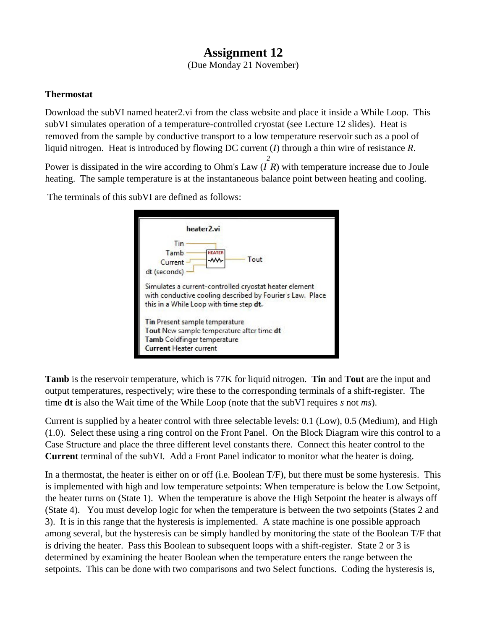## **Assignment 12**

(Due Monday 21 November)

## **Thermostat**

Download the subVI named heater2.vi from the class website and place it inside a While Loop. This subVI simulates operation of a temperature-controlled cryostat (see Lecture 12 slides). Heat is removed from the sample by conductive transport to a low temperature reservoir such as a pool of liquid nitrogen. Heat is introduced by flowing DC current (*I*) through a thin wire of resistance *R*.

Power is dissipated in the wire according to Ohm's Law (*I R*) with temperature increase due to Joule *2* heating. The sample temperature is at the instantaneous balance point between heating and cooling.

The terminals of this subVI are defined as follows:

| heater <sub>2.vi</sub>                                                                                                                                         |
|----------------------------------------------------------------------------------------------------------------------------------------------------------------|
| Tin<br>Tamb<br><b>HEATER</b><br>Tout<br>₩<br>Current<br>dt (seconds)                                                                                           |
| Simulates a current-controlled cryostat heater element<br>with conductive cooling described by Fourier's Law. Place<br>this in a While Loop with time step dt. |
| <b>Tin Present sample temperature</b><br>Tout New sample temperature after time dt<br>Tamb Coldfinger temperature<br><b>Current Heater current</b>             |

**Tamb** is the reservoir temperature, which is 77K for liquid nitrogen. **Tin** and **Tout** are the input and output temperatures, respectively; wire these to the corresponding terminals of a shift-register. The time **dt** is also the Wait time of the While Loop (note that the subVI requires *s* not *ms*).

Current is supplied by a heater control with three selectable levels: 0.1 (Low), 0.5 (Medium), and High (1.0). Select these using a ring control on the Front Panel. On the Block Diagram wire this control to a Case Structure and place the three different level constants there. Connect this heater control to the **Current** terminal of the subVI. Add a Front Panel indicator to monitor what the heater is doing.

In a thermostat, the heater is either on or off (i.e. Boolean T/F), but there must be some hysteresis. This is implemented with high and low temperature setpoints: When temperature is below the Low Setpoint, the heater turns on (State 1). When the temperature is above the High Setpoint the heater is always off (State 4). You must develop logic for when the temperature is between the two setpoints (States 2 and 3). It is in this range that the hysteresis is implemented. A state machine is one possible approach among several, but the hysteresis can be simply handled by monitoring the state of the Boolean T/F that is driving the heater. Pass this Boolean to subsequent loops with a shift-register. State 2 or 3 is determined by examining the heater Boolean when the temperature enters the range between the setpoints. This can be done with two comparisons and two Select functions. Coding the hysteresis is,